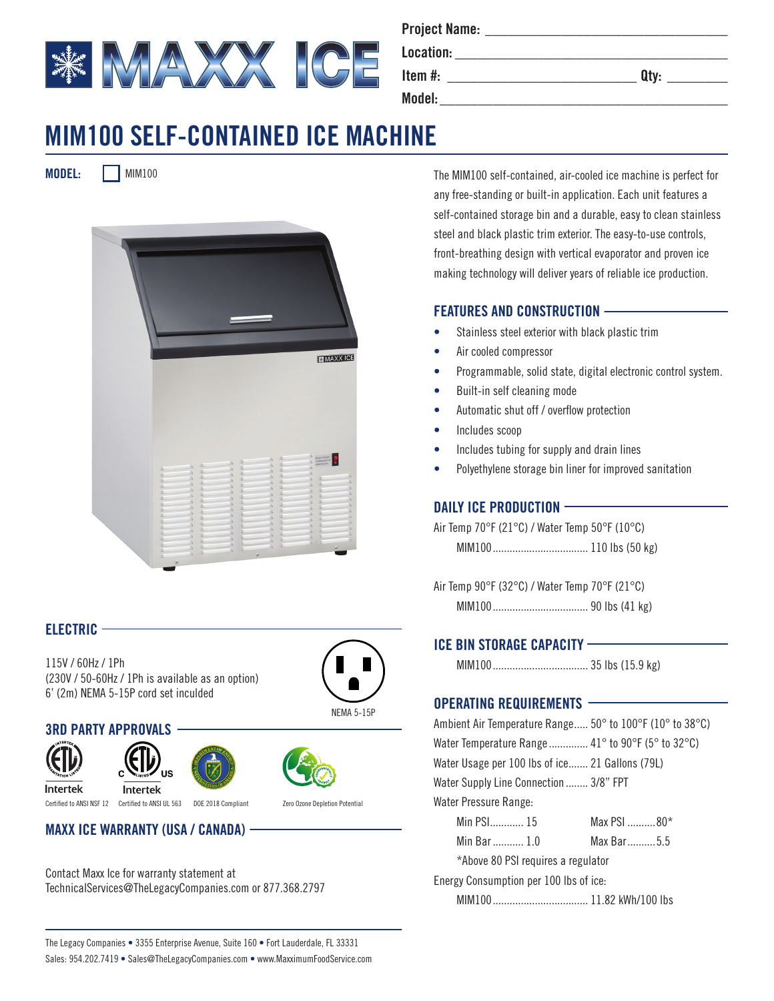

| Project Name: |      |
|---------------|------|
| Location:     |      |
| Item #:       | Qtv: |

**Model:\_\_\_\_\_\_\_\_\_\_\_\_\_\_\_\_\_\_\_\_\_\_\_\_\_\_\_\_\_\_\_\_\_\_\_\_\_\_**

|              | - |
|--------------|---|
| ×<br>×<br>-- |   |

# **MIM100 SELF-CONTAINED ICE MACHINE**

**MODEL:** MIM100



#### **ELECTRIC**

115V / 60Hz / 1Ph (230V / 50-60Hz / 1Ph is available as an option) 6' (2m) NEMA 5-15P cord set inculded



#### **3RD PARTY APPROVALS**







**Intertek** Certified to ANSI NSF 12 Certified to ANSI UL 563 DOE 2018 Compliant Zero Ozone Depletion Potential

**MAXX ICE WARRANTY (USA / CANADA)**

Contact Maxx Ice for warranty statement at TechnicalServices@TheLegacyCompanies.com or 877.368.2797 The MIM100 self-contained, air-cooled ice machine is perfect for any free-standing or built-in application. Each unit features a self-contained storage bin and a durable, easy to clean stainless steel and black plastic trim exterior. The easy-to-use controls, front-breathing design with vertical evaporator and proven ice making technology will deliver years of reliable ice production.

#### **FEATURES AND CONSTRUCTION**

- Stainless steel exterior with black plastic trim
- Air cooled compressor
- Programmable, solid state, digital electronic control system.
- Built-in self cleaning mode
- Automatic shut off / overflow protection
- Includes scoop
- Includes tubing for supply and drain lines
- Polyethylene storage bin liner for improved sanitation

#### **DAILY ICE PRODUCTION**

Air Temp 70°F (21°C) / Water Temp 50°F (10°C) MIM100.................................. 110 lbs (50 kg)

Air Temp 90°F (32°C) / Water Temp 70°F (21°C) MIM100.................................. 90 lbs (41 kg)

### **ICE BIN STORAGE CAPACITY**

MIM100.................................. 35 lbs (15.9 kg)

### **OPERATING REQUIREMENTS**

| Ambient Air Temperature Range 50° to 100°F (10° to 38°C) |             |  |
|----------------------------------------------------------|-------------|--|
| Water Temperature Range  41° to 90°F (5° to 32°C)        |             |  |
| Water Usage per 100 lbs of ice 21 Gallons (79L)          |             |  |
| Water Supply Line Connection  3/8" FPT                   |             |  |
| Water Pressure Range:                                    |             |  |
| Min PSI 15                                               | Max PSI 80* |  |
| Min Bar  1.0                                             | Max Bar5.5  |  |
| *Above 80 PSI requires a regulator                       |             |  |
| Energy Consumption per 100 lbs of ice:                   |             |  |
|                                                          |             |  |